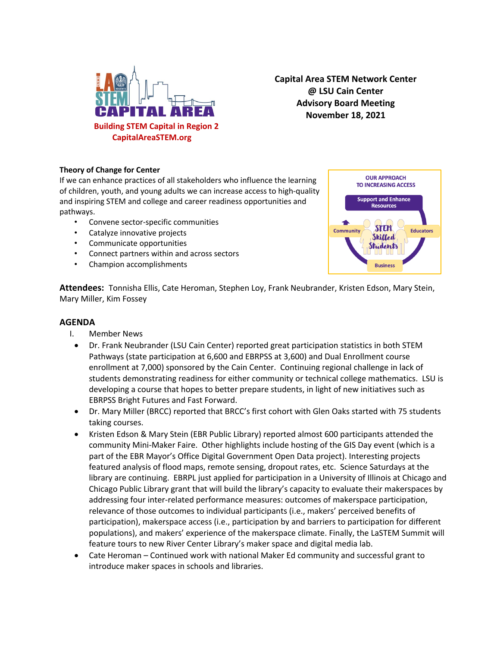

**Capital Area STEM Network Center @ LSU Cain Center Advisory Board Meeting November 18, 2021**

## **Theory of Change for Center**

If we can enhance practices of all stakeholders who influence the learning of children, youth, and young adults we can increase access to high-quality and inspiring STEM and college and career readiness opportunities and pathways.

- Convene sector-specific communities
- Catalyze innovative projects
- Communicate opportunities
- Connect partners within and across sectors
- Champion accomplishments



**Attendees:** Tonnisha Ellis, Cate Heroman, Stephen Loy, Frank Neubrander, Kristen Edson, Mary Stein, Mary Miller, Kim Fossey

## **AGENDA**

- I. Member News
	- Dr. Frank Neubrander (LSU Cain Center) reported great participation statistics in both STEM Pathways (state participation at 6,600 and EBRPSS at 3,600) and Dual Enrollment course enrollment at 7,000) sponsored by the Cain Center. Continuing regional challenge in lack of students demonstrating readiness for either community or technical college mathematics. LSU is developing a course that hopes to better prepare students, in light of new initiatives such as EBRPSS Bright Futures and Fast Forward.
	- Dr. Mary Miller (BRCC) reported that BRCC's first cohort with Glen Oaks started with 75 students taking courses.
- Kristen Edson & Mary Stein (EBR Public Library) reported almost 600 participants attended the community Mini-Maker Faire. Other highlights include hosting of the GIS Day event (which is a part of the EBR Mayor's Office Digital Government Open Data project). Interesting projects featured analysis of flood maps, remote sensing, dropout rates, etc. Science Saturdays at the library are continuing. EBRPL just applied for participation in a University of Illinois at Chicago and Chicago Public Library grant that will build the library's capacity to evaluate their makerspaces by addressing four inter-related performance measures: outcomes of makerspace participation, relevance of those outcomes to individual participants (i.e., makers' perceived benefits of participation), makerspace access (i.e., participation by and barriers to participation for different populations), and makers' experience of the makerspace climate. Finally, the LaSTEM Summit will feature tours to new River Center Library's maker space and digital media lab.
- Cate Heroman Continued work with national Maker Ed community and successful grant to introduce maker spaces in schools and libraries.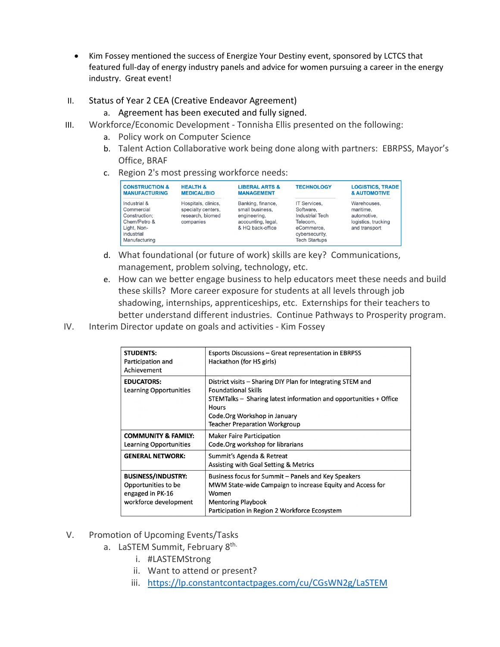- Kim Fossey mentioned the success of Energize Your Destiny event, sponsored by LCTCS that featured full-day of energy industry panels and advice for women pursuing a career in the energy industry. Great event!
- II. Status of Year 2 CEA (Creative Endeavor Agreement)
	- a. Agreement has been executed and fully signed.
- III. Workforce/Economic Development Tonnisha Ellis presented on the following:
	- a. Policy work on Computer Science
	- b. Talent Action Collaborative work being done along with partners: EBRPSS, Mayor's Office, BRAF
	- c. Region 2's most pressing workforce needs:

| <b>CONSTRUCTION &amp;</b>                                                                                 | <b>HEALTH &amp;</b>                                                        | <b>LIBERAL ARTS &amp;</b>                                                                      | <b>TECHNOLOGY</b>                                                                                                              | <b>LOGISTICS, TRADE</b>                                                         |
|-----------------------------------------------------------------------------------------------------------|----------------------------------------------------------------------------|------------------------------------------------------------------------------------------------|--------------------------------------------------------------------------------------------------------------------------------|---------------------------------------------------------------------------------|
| <b>MANUFACTURING</b>                                                                                      | <b>MEDICAL/BIO</b>                                                         | <b>MANAGEMENT</b>                                                                              |                                                                                                                                | <b>&amp; AUTOMOTIVE</b>                                                         |
| Industrial &<br>Commercial<br>Construction:<br>Chem/Petro &<br>Light, Non-<br>industrial<br>Manufacturing | Hospitals, clinics,<br>specialty centers.<br>research, biomed<br>companies | Banking, finance,<br>small business.<br>engineering.<br>accounting, legal,<br>& HQ back-office | <b>IT Services.</b><br>Software.<br><b>Industrial Tech</b><br>Telecom,<br>eCommerce,<br>cybersecurity,<br><b>Tech Startups</b> | Warehouses.<br>maritime.<br>automotive.<br>logistics, trucking<br>and transport |

- d. What foundational (or future of work) skills are key? Communications, management, problem solving, technology, etc.
- e. How can we better engage business to help educators meet these needs and build these skills? More career exposure for students at all levels through job shadowing, internships, apprenticeships, etc. Externships for their teachers to better understand different industries. Continue Pathways to Prosperity program.
- IV. Interim Director update on goals and activities Kim Fossey

| <b>STUDENTS:</b><br>Participation and<br>Achievement                                          | Esports Discussions – Great representation in EBRPSS<br>Hackathon (for HS girls)                                                                                                                                                                        |
|-----------------------------------------------------------------------------------------------|---------------------------------------------------------------------------------------------------------------------------------------------------------------------------------------------------------------------------------------------------------|
| <b>EDUCATORS:</b><br>Learning Opportunities                                                   | District visits – Sharing DIY Plan for Integrating STEM and<br><b>Foundational Skills</b><br>STEMTalks – Sharing latest information and opportunities + Office<br><b>Hours</b><br>Code. Org Workshop in January<br><b>Teacher Preparation Workgroup</b> |
| <b>COMMUNITY &amp; FAMILY:</b><br>Learning Opportunities                                      | <b>Maker Faire Participation</b><br>Code. Org workshop for librarians                                                                                                                                                                                   |
| <b>GENERAL NETWORK:</b>                                                                       | Summit's Agenda & Retreat<br>Assisting with Goal Setting & Metrics                                                                                                                                                                                      |
| <b>BUSINESS/INDUSTRY:</b><br>Opportunities to be<br>engaged in PK-16<br>workforce development | Business focus for Summit – Panels and Key Speakers<br>MWM State-wide Campaign to increase Equity and Access for<br>Women<br><b>Mentoring Playbook</b><br>Participation in Region 2 Workforce Ecosystem                                                 |

- V. Promotion of Upcoming Events/Tasks
	- a. LaSTEM Summit, February 8th.
		- i. #LASTEMStrong
		- ii. Want to attend or present?
		- iii. https://lp.constantcontactpages.com/cu/CGsWN2g/LaSTEM